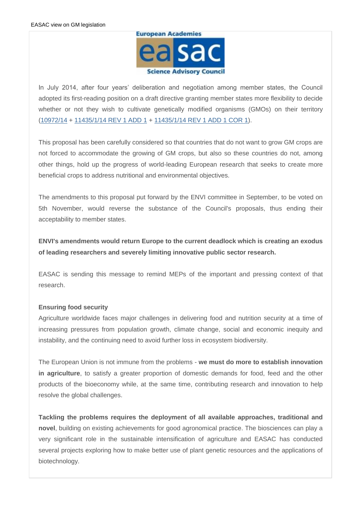

In July 2014, after four years' deliberation and negotiation among member states, the Council adopted its first-reading position on a draft directive granting member states more flexibility to decide whether or not they wish to cultivate genetically modified organisms (GMOs) on their territory [\(10972/14](http://easac.us7.list-manage1.com/track/click?u=090e4121d924f54a887e93d92&id=6cc83b9191&e=2f33c658c8) + [11435/1/14 REV 1 ADD 1](http://easac.us7.list-manage.com/track/click?u=090e4121d924f54a887e93d92&id=138ceb6822&e=2f33c658c8) + [11435/1/14 REV 1 ADD 1 COR 1\)](http://easac.us7.list-manage.com/track/click?u=090e4121d924f54a887e93d92&id=9a5a0099b9&e=2f33c658c8).

This proposal has been carefully considered so that countries that do not want to grow GM crops are not forced to accommodate the growing of GM crops, but also so these countries do not, among other things, hold up the progress of world-leading European research that seeks to create more beneficial crops to address nutritional and environmental objectives.

The amendments to this proposal put forward by the ENVI committee in September, to be voted on 5th November, would reverse the substance of the Council's proposals, thus ending their acceptability to member states.

**ENVI's amendments would return Europe to the current deadlock which is creating an exodus of leading researchers and severely limiting innovative public sector research.**

EASAC is sending this message to remind MEPs of the important and pressing context of that research.

## **Ensuring food security**

Agriculture worldwide faces major challenges in delivering food and nutrition security at a time of increasing pressures from population growth, climate change, social and economic inequity and instability, and the continuing need to avoid further loss in ecosystem biodiversity.

The European Union is not immune from the problems - **we must do more to establish innovation in agriculture**, to satisfy a greater proportion of domestic demands for food, feed and the other products of the bioeconomy while, at the same time, contributing research and innovation to help resolve the global challenges.

**Tackling the problems requires the deployment of all available approaches, traditional and novel**, building on existing achievements for good agronomical practice. The biosciences can play a very significant role in the sustainable intensification of agriculture and EASAC has conducted several projects exploring how to make better use of plant genetic resources and the applications of biotechnology.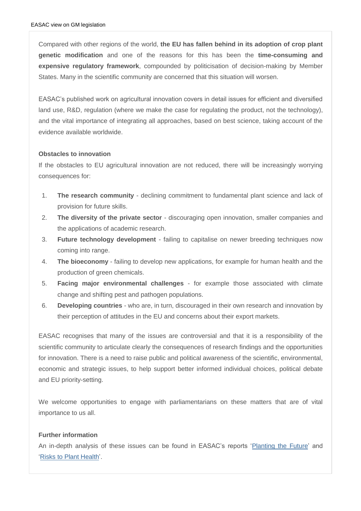Compared with other regions of the world, **the EU has fallen behind in its adoption of crop plant genetic modification** and one of the reasons for this has been the **time-consuming and expensive regulatory framework**, compounded by politicisation of decision-making by Member States. Many in the scientific community are concerned that this situation will worsen.

EASAC's published work on agricultural innovation covers in detail issues for efficient and diversified land use, R&D, regulation (where we make the case for regulating the product, not the technology), and the vital importance of integrating all approaches, based on best science, taking account of the evidence available worldwide.

## **Obstacles to innovation**

If the obstacles to EU agricultural innovation are not reduced, there will be increasingly worrying consequences for:

- 1. **The research community** declining commitment to fundamental plant science and lack of provision for future skills.
- 2. **The diversity of the private sector** discouraging open innovation, smaller companies and the applications of academic research.
- 3. **Future technology development** failing to capitalise on newer breeding techniques now coming into range.
- 4. **The bioeconomy** failing to develop new applications, for example for human health and the production of green chemicals.
- 5. **Facing major environmental challenges** for example those associated with climate change and shifting pest and pathogen populations.
- 6. **Developing countries** who are, in turn, discouraged in their own research and innovation by their perception of attitudes in the EU and concerns about their export markets.

EASAC recognises that many of the issues are controversial and that it is a responsibility of the scientific community to articulate clearly the consequences of research findings and the opportunities for innovation. There is a need to raise public and political awareness of the scientific, environmental, economic and strategic issues, to help support better informed individual choices, political debate and EU priority-setting.

We welcome opportunities to engage with parliamentarians on these matters that are of vital importance to us all.

## **Further information**

An in-depth analysis of these issues can be found in EASAC's reports ['Planting the Future'](http://easac.us7.list-manage2.com/track/click?u=090e4121d924f54a887e93d92&id=957995013c&e=2f33c658c8) and ['Risks to Plant Health'.](http://easac.us7.list-manage.com/track/click?u=090e4121d924f54a887e93d92&id=8ef5fa6c3a&e=2f33c658c8)